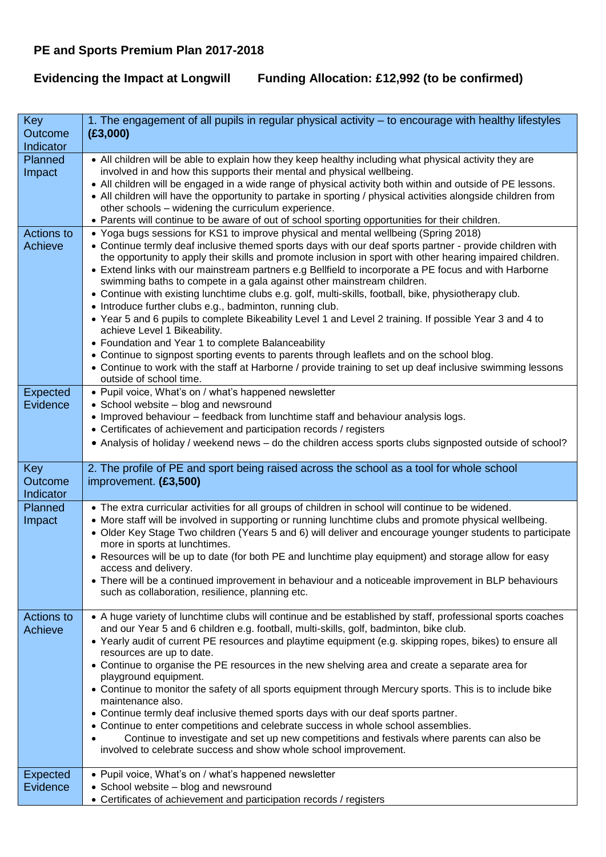## **PE and Sports Premium Plan 2017-2018**

**Evidencing the Impact at Longwill Funding Allocation: £12,992 (to be confirmed)**

| Key<br>Outcome<br>Indicator | 1. The engagement of all pupils in regular physical activity – to encourage with healthy lifestyles<br>(E3,000)                                                                                                                                                                                                                                                                                                                                                                                                                                                                                                                                                                                                                                                                                                                                                                                                                                                                                                                                                                                               |
|-----------------------------|---------------------------------------------------------------------------------------------------------------------------------------------------------------------------------------------------------------------------------------------------------------------------------------------------------------------------------------------------------------------------------------------------------------------------------------------------------------------------------------------------------------------------------------------------------------------------------------------------------------------------------------------------------------------------------------------------------------------------------------------------------------------------------------------------------------------------------------------------------------------------------------------------------------------------------------------------------------------------------------------------------------------------------------------------------------------------------------------------------------|
| Planned<br>Impact           | • All children will be able to explain how they keep healthy including what physical activity they are<br>involved in and how this supports their mental and physical wellbeing.<br>• All children will be engaged in a wide range of physical activity both within and outside of PE lessons.<br>• All children will have the opportunity to partake in sporting / physical activities alongside children from<br>other schools - widening the curriculum experience.<br>• Parents will continue to be aware of out of school sporting opportunities for their children.                                                                                                                                                                                                                                                                                                                                                                                                                                                                                                                                     |
| Actions to<br>Achieve       | • Yoga bugs sessions for KS1 to improve physical and mental wellbeing (Spring 2018)<br>• Continue termly deaf inclusive themed sports days with our deaf sports partner - provide children with<br>the opportunity to apply their skills and promote inclusion in sport with other hearing impaired children.<br>• Extend links with our mainstream partners e.g Bellfield to incorporate a PE focus and with Harborne<br>swimming baths to compete in a gala against other mainstream children.<br>• Continue with existing lunchtime clubs e.g. golf, multi-skills, football, bike, physiotherapy club.<br>• Introduce further clubs e.g., badminton, running club.<br>• Year 5 and 6 pupils to complete Bikeability Level 1 and Level 2 training. If possible Year 3 and 4 to<br>achieve Level 1 Bikeability.<br>• Foundation and Year 1 to complete Balanceability<br>• Continue to signpost sporting events to parents through leaflets and on the school blog.<br>• Continue to work with the staff at Harborne / provide training to set up deaf inclusive swimming lessons<br>outside of school time. |
| <b>Expected</b><br>Evidence | • Pupil voice, What's on / what's happened newsletter<br>• School website - blog and newsround<br>. Improved behaviour - feedback from lunchtime staff and behaviour analysis logs.<br>• Certificates of achievement and participation records / registers<br>• Analysis of holiday / weekend news - do the children access sports clubs signposted outside of school?                                                                                                                                                                                                                                                                                                                                                                                                                                                                                                                                                                                                                                                                                                                                        |
| Key<br>Outcome<br>Indicator | 2. The profile of PE and sport being raised across the school as a tool for whole school<br>improvement. (£3,500)                                                                                                                                                                                                                                                                                                                                                                                                                                                                                                                                                                                                                                                                                                                                                                                                                                                                                                                                                                                             |
| Planned<br>Impact           | • The extra curricular activities for all groups of children in school will continue to be widened.<br>• More staff will be involved in supporting or running lunchtime clubs and promote physical wellbeing.<br>• Older Key Stage Two children (Years 5 and 6) will deliver and encourage younger students to participate<br>more in sports at lunchtimes.<br>• Resources will be up to date (for both PE and lunchtime play equipment) and storage allow for easy<br>access and delivery.<br>• There will be a continued improvement in behaviour and a noticeable improvement in BLP behaviours<br>such as collaboration, resilience, planning etc.                                                                                                                                                                                                                                                                                                                                                                                                                                                        |
| Actions to<br>Achieve       | • A huge variety of lunchtime clubs will continue and be established by staff, professional sports coaches<br>and our Year 5 and 6 children e.g. football, multi-skills, golf, badminton, bike club.<br>• Yearly audit of current PE resources and playtime equipment (e.g. skipping ropes, bikes) to ensure all<br>resources are up to date.<br>• Continue to organise the PE resources in the new shelving area and create a separate area for<br>playground equipment.<br>• Continue to monitor the safety of all sports equipment through Mercury sports. This is to include bike<br>maintenance also.<br>• Continue termly deaf inclusive themed sports days with our deaf sports partner.<br>• Continue to enter competitions and celebrate success in whole school assemblies.<br>Continue to investigate and set up new competitions and festivals where parents can also be<br>involved to celebrate success and show whole school improvement.                                                                                                                                                      |
| <b>Expected</b><br>Evidence | • Pupil voice, What's on / what's happened newsletter<br>• School website - blog and newsround<br>• Certificates of achievement and participation records / registers                                                                                                                                                                                                                                                                                                                                                                                                                                                                                                                                                                                                                                                                                                                                                                                                                                                                                                                                         |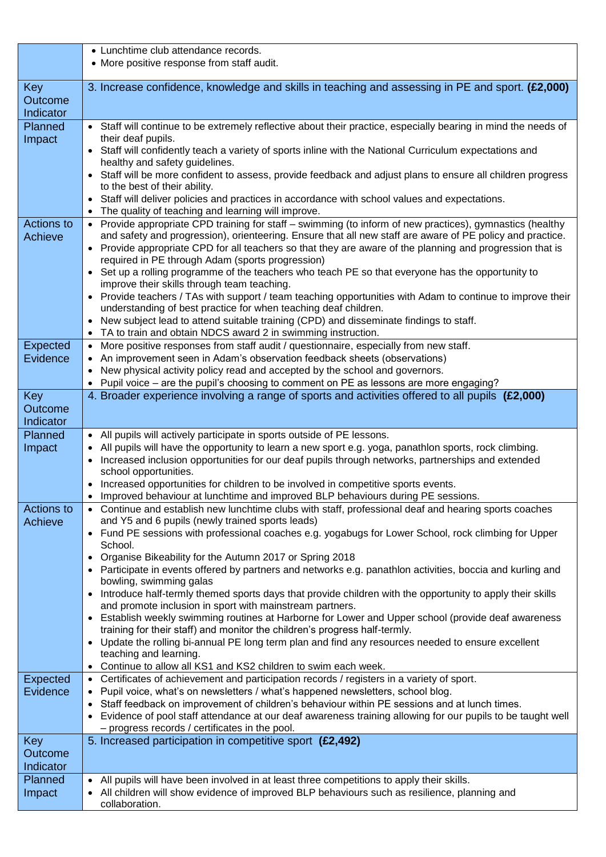|                   | • Lunchtime club attendance records.                                                                                                                                                                                   |
|-------------------|------------------------------------------------------------------------------------------------------------------------------------------------------------------------------------------------------------------------|
|                   | • More positive response from staff audit.                                                                                                                                                                             |
|                   |                                                                                                                                                                                                                        |
| <b>Key</b>        | 3. Increase confidence, knowledge and skills in teaching and assessing in PE and sport. (£2,000)                                                                                                                       |
| Outcome           |                                                                                                                                                                                                                        |
| Indicator         |                                                                                                                                                                                                                        |
| Planned           | • Staff will continue to be extremely reflective about their practice, especially bearing in mind the needs of<br>their deaf pupils.                                                                                   |
| Impact            | Staff will confidently teach a variety of sports inline with the National Curriculum expectations and                                                                                                                  |
|                   | healthy and safety guidelines.                                                                                                                                                                                         |
|                   | Staff will be more confident to assess, provide feedback and adjust plans to ensure all children progress                                                                                                              |
|                   | to the best of their ability.                                                                                                                                                                                          |
|                   | Staff will deliver policies and practices in accordance with school values and expectations.                                                                                                                           |
|                   | The quality of teaching and learning will improve.                                                                                                                                                                     |
| <b>Actions to</b> | • Provide appropriate CPD training for staff - swimming (to inform of new practices), gymnastics (healthy<br>and safety and progression), orienteering. Ensure that all new staff are aware of PE policy and practice. |
| Achieve           | Provide appropriate CPD for all teachers so that they are aware of the planning and progression that is                                                                                                                |
|                   | required in PE through Adam (sports progression)                                                                                                                                                                       |
|                   | Set up a rolling programme of the teachers who teach PE so that everyone has the opportunity to                                                                                                                        |
|                   | improve their skills through team teaching.                                                                                                                                                                            |
|                   | Provide teachers / TAs with support / team teaching opportunities with Adam to continue to improve their                                                                                                               |
|                   | understanding of best practice for when teaching deaf children.                                                                                                                                                        |
|                   | New subject lead to attend suitable training (CPD) and disseminate findings to staff.<br>TA to train and obtain NDCS award 2 in swimming instruction.                                                                  |
| Expected          | More positive responses from staff audit / questionnaire, especially from new staff.                                                                                                                                   |
| Evidence          | An improvement seen in Adam's observation feedback sheets (observations)                                                                                                                                               |
|                   | New physical activity policy read and accepted by the school and governors.                                                                                                                                            |
|                   | Pupil voice – are the pupil's choosing to comment on PE as lessons are more engaging?                                                                                                                                  |
| Key               | 4. Broader experience involving a range of sports and activities offered to all pupils (£2,000)                                                                                                                        |
| Outcome           |                                                                                                                                                                                                                        |
| Indicator         |                                                                                                                                                                                                                        |
| Planned           | • All pupils will actively participate in sports outside of PE lessons.                                                                                                                                                |
| Impact            | All pupils will have the opportunity to learn a new sport e.g. yoga, panathlon sports, rock climbing.<br>Increased inclusion opportunities for our deaf pupils through networks, partnerships and extended             |
|                   | school opportunities.                                                                                                                                                                                                  |
|                   | Increased opportunities for children to be involved in competitive sports events.                                                                                                                                      |
|                   | Improved behaviour at lunchtime and improved BLP behaviours during PE sessions.                                                                                                                                        |
| <b>Actions to</b> | Continue and establish new lunchtime clubs with staff, professional deaf and hearing sports coaches                                                                                                                    |
| Achieve           | and Y5 and 6 pupils (newly trained sports leads)                                                                                                                                                                       |
|                   | Fund PE sessions with professional coaches e.g. yogabugs for Lower School, rock climbing for Upper                                                                                                                     |
|                   | School.<br>Organise Bikeability for the Autumn 2017 or Spring 2018                                                                                                                                                     |
|                   | Participate in events offered by partners and networks e.g. panathlon activities, boccia and kurling and                                                                                                               |
|                   | bowling, swimming galas                                                                                                                                                                                                |
|                   | Introduce half-termly themed sports days that provide children with the opportunity to apply their skills                                                                                                              |
|                   | and promote inclusion in sport with mainstream partners.                                                                                                                                                               |
|                   | Establish weekly swimming routines at Harborne for Lower and Upper school (provide deaf awareness                                                                                                                      |
|                   | training for their staff) and monitor the children's progress half-termly.<br>Update the rolling bi-annual PE long term plan and find any resources needed to ensure excellent                                         |
|                   | teaching and learning.                                                                                                                                                                                                 |
|                   | Continue to allow all KS1 and KS2 children to swim each week.                                                                                                                                                          |
| <b>Expected</b>   | Certificates of achievement and participation records / registers in a variety of sport.                                                                                                                               |
| Evidence          | Pupil voice, what's on newsletters / what's happened newsletters, school blog.                                                                                                                                         |
|                   | Staff feedback on improvement of children's behaviour within PE sessions and at lunch times.                                                                                                                           |
|                   | Evidence of pool staff attendance at our deaf awareness training allowing for our pupils to be taught well                                                                                                             |
| Key               | - progress records / certificates in the pool.<br>5. Increased participation in competitive sport (£2,492)                                                                                                             |
| Outcome           |                                                                                                                                                                                                                        |
| Indicator         |                                                                                                                                                                                                                        |
| Planned           | All pupils will have been involved in at least three competitions to apply their skills.                                                                                                                               |
| Impact            | All children will show evidence of improved BLP behaviours such as resilience, planning and                                                                                                                            |
|                   |                                                                                                                                                                                                                        |